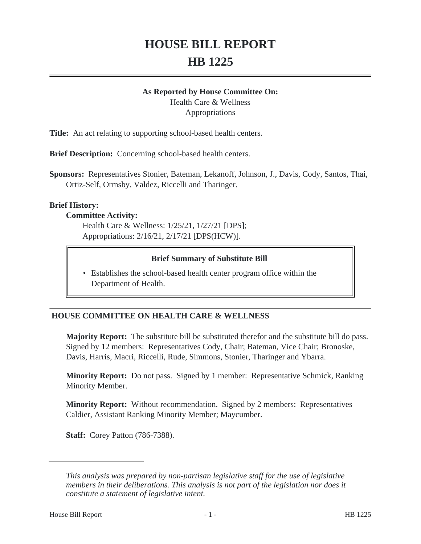# **HOUSE BILL REPORT HB 1225**

#### **As Reported by House Committee On:**

Health Care & Wellness Appropriations

**Title:** An act relating to supporting school-based health centers.

**Brief Description:** Concerning school-based health centers.

**Sponsors:** Representatives Stonier, Bateman, Lekanoff, Johnson, J., Davis, Cody, Santos, Thai, Ortiz-Self, Ormsby, Valdez, Riccelli and Tharinger.

#### **Brief History:**

#### **Committee Activity:**

Health Care & Wellness: 1/25/21, 1/27/21 [DPS]; Appropriations: 2/16/21, 2/17/21 [DPS(HCW)].

#### **Brief Summary of Substitute Bill**

• Establishes the school-based health center program office within the Department of Health.

# **HOUSE COMMITTEE ON HEALTH CARE & WELLNESS**

**Majority Report:** The substitute bill be substituted therefor and the substitute bill do pass. Signed by 12 members: Representatives Cody, Chair; Bateman, Vice Chair; Bronoske, Davis, Harris, Macri, Riccelli, Rude, Simmons, Stonier, Tharinger and Ybarra.

**Minority Report:** Do not pass. Signed by 1 member: Representative Schmick, Ranking Minority Member.

**Minority Report:** Without recommendation. Signed by 2 members: Representatives Caldier, Assistant Ranking Minority Member; Maycumber.

**Staff:** Corey Patton (786-7388).

*This analysis was prepared by non-partisan legislative staff for the use of legislative members in their deliberations. This analysis is not part of the legislation nor does it constitute a statement of legislative intent.*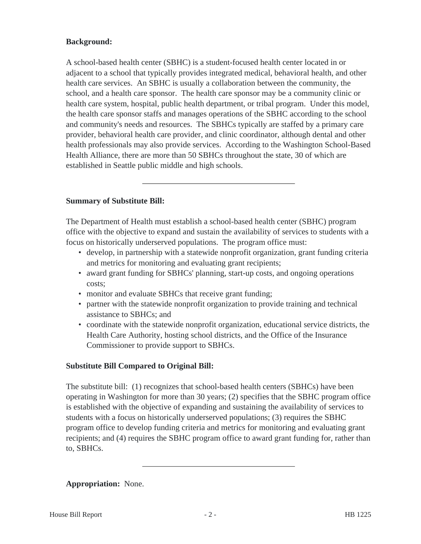# **Background:**

A school-based health center (SBHC) is a student-focused health center located in or adjacent to a school that typically provides integrated medical, behavioral health, and other health care services. An SBHC is usually a collaboration between the community, the school, and a health care sponsor. The health care sponsor may be a community clinic or health care system, hospital, public health department, or tribal program. Under this model, the health care sponsor staffs and manages operations of the SBHC according to the school and community's needs and resources. The SBHCs typically are staffed by a primary care provider, behavioral health care provider, and clinic coordinator, although dental and other health professionals may also provide services. According to the Washington School-Based Health Alliance, there are more than 50 SBHCs throughout the state, 30 of which are established in Seattle public middle and high schools.

# **Summary of Substitute Bill:**

The Department of Health must establish a school-based health center (SBHC) program office with the objective to expand and sustain the availability of services to students with a focus on historically underserved populations. The program office must:

- develop, in partnership with a statewide nonprofit organization, grant funding criteria and metrics for monitoring and evaluating grant recipients;
- award grant funding for SBHCs' planning, start-up costs, and ongoing operations costs;
- monitor and evaluate SBHCs that receive grant funding;
- partner with the statewide nonprofit organization to provide training and technical assistance to SBHCs; and
- coordinate with the statewide nonprofit organization, educational service districts, the Health Care Authority, hosting school districts, and the Office of the Insurance Commissioner to provide support to SBHCs.

#### **Substitute Bill Compared to Original Bill:**

The substitute bill: (1) recognizes that school-based health centers (SBHCs) have been operating in Washington for more than 30 years; (2) specifies that the SBHC program office is established with the objective of expanding and sustaining the availability of services to students with a focus on historically underserved populations; (3) requires the SBHC program office to develop funding criteria and metrics for monitoring and evaluating grant recipients; and (4) requires the SBHC program office to award grant funding for, rather than to, SBHCs.

# **Appropriation:** None.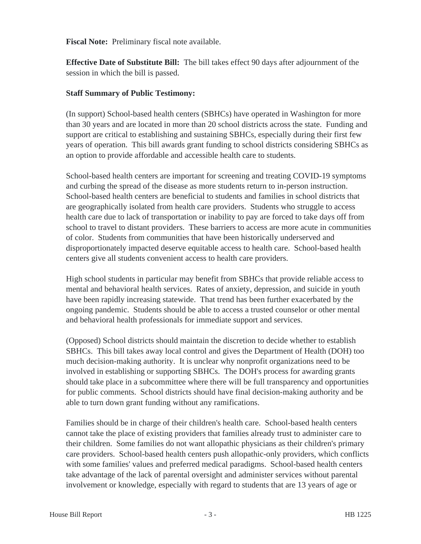**Fiscal Note:** Preliminary fiscal note available.

**Effective Date of Substitute Bill:** The bill takes effect 90 days after adjournment of the session in which the bill is passed.

## **Staff Summary of Public Testimony:**

(In support) School-based health centers (SBHCs) have operated in Washington for more than 30 years and are located in more than 20 school districts across the state. Funding and support are critical to establishing and sustaining SBHCs, especially during their first few years of operation. This bill awards grant funding to school districts considering SBHCs as an option to provide affordable and accessible health care to students.

School-based health centers are important for screening and treating COVID-19 symptoms and curbing the spread of the disease as more students return to in-person instruction. School-based health centers are beneficial to students and families in school districts that are geographically isolated from health care providers. Students who struggle to access health care due to lack of transportation or inability to pay are forced to take days off from school to travel to distant providers. These barriers to access are more acute in communities of color. Students from communities that have been historically underserved and disproportionately impacted deserve equitable access to health care. School-based health centers give all students convenient access to health care providers.

High school students in particular may benefit from SBHCs that provide reliable access to mental and behavioral health services. Rates of anxiety, depression, and suicide in youth have been rapidly increasing statewide. That trend has been further exacerbated by the ongoing pandemic. Students should be able to access a trusted counselor or other mental and behavioral health professionals for immediate support and services.

(Opposed) School districts should maintain the discretion to decide whether to establish SBHCs. This bill takes away local control and gives the Department of Health (DOH) too much decision-making authority. It is unclear why nonprofit organizations need to be involved in establishing or supporting SBHCs. The DOH's process for awarding grants should take place in a subcommittee where there will be full transparency and opportunities for public comments. School districts should have final decision-making authority and be able to turn down grant funding without any ramifications.

Families should be in charge of their children's health care. School-based health centers cannot take the place of existing providers that families already trust to administer care to their children. Some families do not want allopathic physicians as their children's primary care providers. School-based health centers push allopathic-only providers, which conflicts with some families' values and preferred medical paradigms. School-based health centers take advantage of the lack of parental oversight and administer services without parental involvement or knowledge, especially with regard to students that are 13 years of age or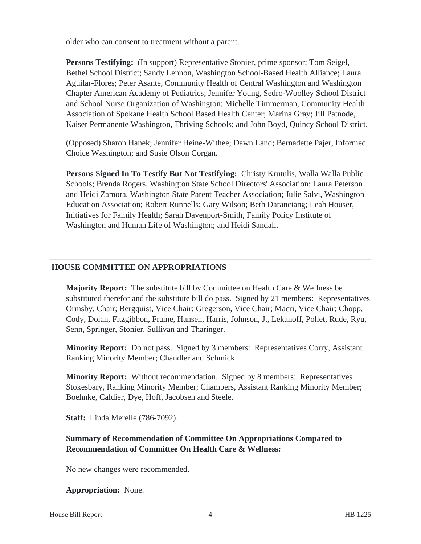older who can consent to treatment without a parent.

**Persons Testifying:** (In support) Representative Stonier, prime sponsor; Tom Seigel, Bethel School District; Sandy Lennon, Washington School-Based Health Alliance; Laura Aguilar-Flores; Peter Asante, Community Health of Central Washington and Washington Chapter American Academy of Pediatrics; Jennifer Young, Sedro-Woolley School District and School Nurse Organization of Washington; Michelle Timmerman, Community Health Association of Spokane Health School Based Health Center; Marina Gray; Jill Patnode, Kaiser Permanente Washington, Thriving Schools; and John Boyd, Quincy School District.

(Opposed) Sharon Hanek; Jennifer Heine-Withee; Dawn Land; Bernadette Pajer, Informed Choice Washington; and Susie Olson Corgan.

**Persons Signed In To Testify But Not Testifying:** Christy Krutulis, Walla Walla Public Schools; Brenda Rogers, Washington State School Directors' Association; Laura Peterson and Heidi Zamora, Washington State Parent Teacher Association; Julie Salvi, Washington Education Association; Robert Runnells; Gary Wilson; Beth Daranciang; Leah Houser, Initiatives for Family Health; Sarah Davenport-Smith, Family Policy Institute of Washington and Human Life of Washington; and Heidi Sandall.

#### **HOUSE COMMITTEE ON APPROPRIATIONS**

**Majority Report:** The substitute bill by Committee on Health Care & Wellness be substituted therefor and the substitute bill do pass. Signed by 21 members: Representatives Ormsby, Chair; Bergquist, Vice Chair; Gregerson, Vice Chair; Macri, Vice Chair; Chopp, Cody, Dolan, Fitzgibbon, Frame, Hansen, Harris, Johnson, J., Lekanoff, Pollet, Rude, Ryu, Senn, Springer, Stonier, Sullivan and Tharinger.

**Minority Report:** Do not pass. Signed by 3 members: Representatives Corry, Assistant Ranking Minority Member; Chandler and Schmick.

**Minority Report:** Without recommendation. Signed by 8 members: Representatives Stokesbary, Ranking Minority Member; Chambers, Assistant Ranking Minority Member; Boehnke, Caldier, Dye, Hoff, Jacobsen and Steele.

**Staff:** Linda Merelle (786-7092).

# **Summary of Recommendation of Committee On Appropriations Compared to Recommendation of Committee On Health Care & Wellness:**

No new changes were recommended.

#### **Appropriation:** None.